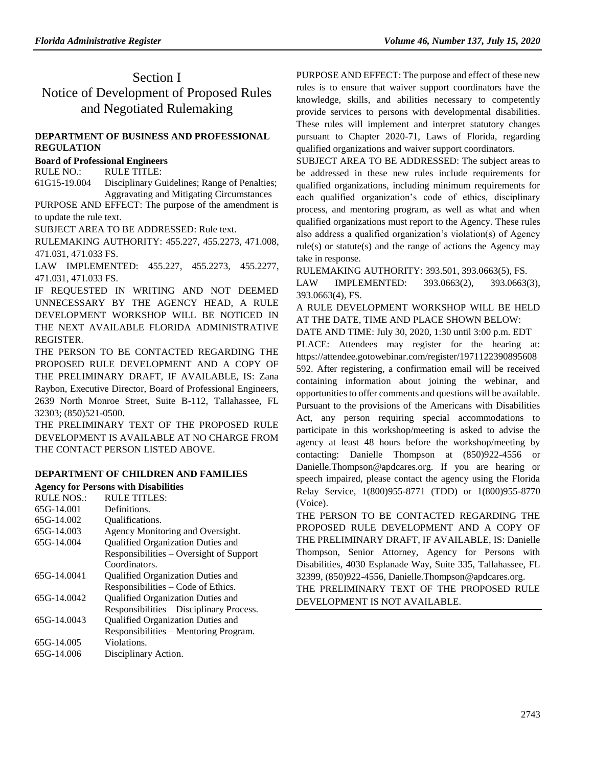## Section I Notice of Development of Proposed Rules and Negotiated Rulemaking

## **[DEPARTMENT OF BUSINESS AND PROFESSIONAL](https://www.flrules.org/gateway/department.asp?id=61)  [REGULATION](https://www.flrules.org/gateway/department.asp?id=61)**

## **[Board of Professional Engineers](https://www.flrules.org/gateway/organization.asp?id=267)**

RULE NO.: RULE TITLE:

[61G15-19.004](https://www.flrules.org/gateway/ruleNo.asp?id=61G15-19.004) Disciplinary Guidelines; Range of Penalties; Aggravating and Mitigating Circumstances

PURPOSE AND EFFECT: The purpose of the amendment is to update the rule text.

SUBJECT AREA TO BE ADDRESSED: Rule text.

RULEMAKING AUTHORITY: [455.227,](https://www.flrules.org/gateway/statute.asp?id=455.227) [455.2273,](https://www.flrules.org/gateway/statute.asp?id=%20455.2273) [471.008,](https://www.flrules.org/gateway/statute.asp?id=%20471.008) [471.031,](https://www.flrules.org/gateway/statute.asp?id=%20471.031) [471.033 FS.](https://www.flrules.org/gateway/statute.asp?id=%20471.033%20FS.)

LAW IMPLEMENTED: [455.227,](https://www.flrules.org/gateway/statute.asp?id=455.227) [455.2273,](https://www.flrules.org/gateway/statute.asp?id=%20455.2273) [455.2277,](https://www.flrules.org/gateway/statute.asp?id=%20455.2277) [471.031,](https://www.flrules.org/gateway/statute.asp?id=%20471.031) [471.033 FS.](https://www.flrules.org/gateway/statute.asp?id=%20471.033%20FS.)

IF REQUESTED IN WRITING AND NOT DEEMED UNNECESSARY BY THE AGENCY HEAD, A RULE DEVELOPMENT WORKSHOP WILL BE NOTICED IN THE NEXT AVAILABLE FLORIDA ADMINISTRATIVE REGISTER.

THE PERSON TO BE CONTACTED REGARDING THE PROPOSED RULE DEVELOPMENT AND A COPY OF THE PRELIMINARY DRAFT, IF AVAILABLE, IS: Zana Raybon, Executive Director, Board of Professional Engineers, 2639 North Monroe Street, Suite B-112, Tallahassee, FL 32303; (850)521-0500.

THE PRELIMINARY TEXT OF THE PROPOSED RULE DEVELOPMENT IS AVAILABLE AT NO CHARGE FROM THE CONTACT PERSON LISTED ABOVE.

## **[DEPARTMENT OF CHILDREN AND FAMILIES](https://www.flrules.org/gateway/department.asp?id=65)**

### **[Agency for Persons with Disabilities](https://www.flrules.org/gateway/organization.asp?id=560)**

| <b>RULE NOS.:</b> | <b>RULE TITLES:</b>                      |
|-------------------|------------------------------------------|
| 65G-14.001        | Definitions.                             |
| 65G-14.002        | <b>Oualifications.</b>                   |
| 65G-14.003        | Agency Monitoring and Oversight.         |
| 65G-14.004        | Qualified Organization Duties and        |
|                   | Responsibilities – Oversight of Support  |
|                   | Coordinators.                            |
| 65G-14.0041       | Qualified Organization Duties and        |
|                   | Responsibilities – Code of Ethics.       |
| 65G-14.0042       | Qualified Organization Duties and        |
|                   | Responsibilities – Disciplinary Process. |
| 65G-14.0043       | Qualified Organization Duties and        |
|                   | Responsibilities - Mentoring Program.    |
| 65G-14.005        | Violations.                              |
| 65G-14.006        | Disciplinary Action.                     |
|                   |                                          |

PURPOSE AND EFFECT: The purpose and effect of these new rules is to ensure that waiver support coordinators have the knowledge, skills, and abilities necessary to competently provide services to persons with developmental disabilities. These rules will implement and interpret statutory changes pursuant to Chapter 2020-71, Laws of Florida, regarding qualified organizations and waiver support coordinators.

SUBJECT AREA TO BE ADDRESSED: The subject areas to be addressed in these new rules include requirements for qualified organizations, including minimum requirements for each qualified organization's code of ethics, disciplinary process, and mentoring program, as well as what and when qualified organizations must report to the Agency. These rules also address a qualified organization's violation(s) of Agency rule(s) or statute(s) and the range of actions the Agency may take in response.

RULEMAKING AUTHORITY: [393.501,](https://www.flrules.org/gateway/statute.asp?id=393.501) [393.0663\(5\),](https://www.flrules.org/gateway/statute.asp?id=%20393.0663(5)) FS.

LAW IMPLEMENTED: [393.0663\(2\),](https://www.flrules.org/gateway/statute.asp?id=393.0663(2)) [393.0663\(3\),](https://www.flrules.org/gateway/statute.asp?id=%20393.0663(3)) [393.0663\(4\),](https://www.flrules.org/gateway/statute.asp?id=%20393.0663(4)) FS.

A RULE DEVELOPMENT WORKSHOP WILL BE HELD AT THE DATE, TIME AND PLACE SHOWN BELOW:

DATE AND TIME: July 30, 2020, 1:30 until 3:00 p.m. EDT

PLACE: Attendees may register for the hearing at: https://attendee.gotowebinar.com/register/1971122390895608 592. After registering, a confirmation email will be received containing information about joining the webinar, and opportunities to offer comments and questions will be available. Pursuant to the provisions of the Americans with Disabilities Act, any person requiring special accommodations to participate in this workshop/meeting is asked to advise the agency at least 48 hours before the workshop/meeting by contacting: Danielle Thompson at (850)922-4556 or Danielle.Thompson@apdcares.org. If you are hearing or speech impaired, please contact the agency using the Florida Relay Service, 1(800)955-8771 (TDD) or 1(800)955-8770 (Voice).

THE PERSON TO BE CONTACTED REGARDING THE PROPOSED RULE DEVELOPMENT AND A COPY OF THE PRELIMINARY DRAFT, IF AVAILABLE, IS: Danielle Thompson, Senior Attorney, Agency for Persons with Disabilities, 4030 Esplanade Way, Suite 335, Tallahassee, FL 32399, (850)922-4556, Danielle.Thompson@apdcares.org.

THE PRELIMINARY TEXT OF THE PROPOSED RULE DEVELOPMENT IS NOT AVAILABLE.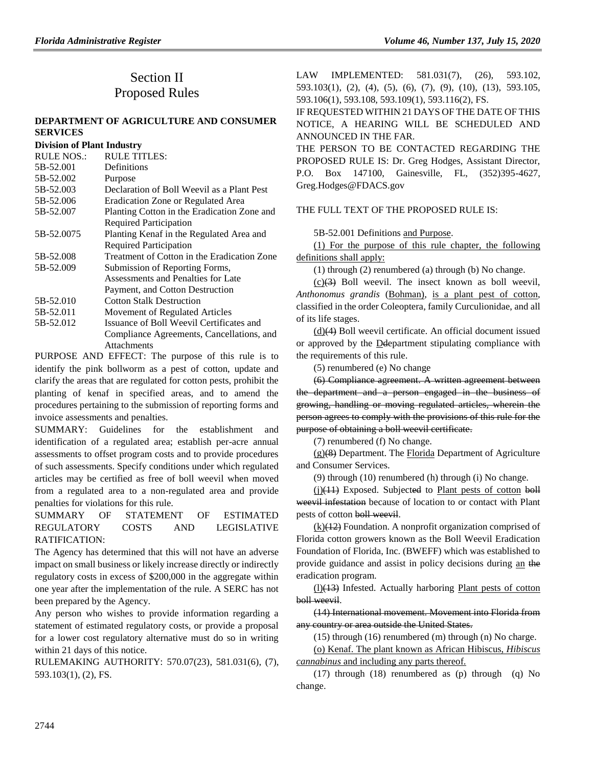#### **[DEPARTMENT OF AGRICULTURE AND CONSUMER](https://www.flrules.org/gateway/department.asp?id=5)  [SERVICES](https://www.flrules.org/gateway/department.asp?id=5)**

#### **[Division of Plant Industry](https://www.flrules.org/gateway/organization.asp?id=162)**

| <b>RULE NOS.:</b> | <b>RULE TITLES:</b>                         |
|-------------------|---------------------------------------------|
| 5B-52.001         | Definitions                                 |
| 5B-52.002         | Purpose                                     |
| 5B-52.003         | Declaration of Boll Weevil as a Plant Pest  |
| 5B-52.006         | Eradication Zone or Regulated Area          |
| 5B-52.007         | Planting Cotton in the Eradication Zone and |
|                   | <b>Required Participation</b>               |
| 5B-52.0075        | Planting Kenaf in the Regulated Area and    |
|                   | <b>Required Participation</b>               |
| 5B-52.008         | Treatment of Cotton in the Eradication Zone |
| 5B-52.009         | Submission of Reporting Forms,              |
|                   | Assessments and Penalties for Late          |
|                   | Payment, and Cotton Destruction             |
| 5B-52.010         | <b>Cotton Stalk Destruction</b>             |
| 5B-52.011         | Movement of Regulated Articles              |
| 5B-52.012         | Issuance of Boll Weevil Certificates and    |
|                   | Compliance Agreements, Cancellations, and   |
|                   | Attachments                                 |

PURPOSE AND EFFECT: The purpose of this rule is to identify the pink bollworm as a pest of cotton, update and clarify the areas that are regulated for cotton pests, prohibit the planting of kenaf in specified areas, and to amend the procedures pertaining to the submission of reporting forms and invoice assessments and penalties.

SUMMARY: Guidelines for the establishment and identification of a regulated area; establish per-acre annual assessments to offset program costs and to provide procedures of such assessments. Specify conditions under which regulated articles may be certified as free of boll weevil when moved from a regulated area to a non-regulated area and provide penalties for violations for this rule.

## SUMMARY OF STATEMENT OF ESTIMATED REGULATORY COSTS AND LEGISLATIVE RATIFICATION:

The Agency has determined that this will not have an adverse impact on small business or likely increase directly or indirectly regulatory costs in excess of \$200,000 in the aggregate within one year after the implementation of the rule. A SERC has not been prepared by the Agency.

Any person who wishes to provide information regarding a statement of estimated regulatory costs, or provide a proposal for a lower cost regulatory alternative must do so in writing within 21 days of this notice.

RULEMAKING AUTHORITY: [570.07\(23\),](https://www.flrules.org/gateway/statute.asp?id=570.07(23)) [581.031\(6\),](https://www.flrules.org/gateway/statute.asp?id=%20581.031(6)) (7), [593.103\(1\),](https://www.flrules.org/gateway/statute.asp?id=%20593.103(1)) (2), FS.

LAW IMPLEMENTED: [581.031\(7\),](https://www.flrules.org/gateway/statute.asp?id=581.031(7)) (26), [593.102,](https://www.flrules.org/gateway/statute.asp?id=%20593.102) [593.103\(1\),](https://www.flrules.org/gateway/statute.asp?id=%20593.103(1)) (2), (4), (5), (6), (7), (9), (10), (13), [593.105,](https://www.flrules.org/gateway/statute.asp?id=%20593.105) [593.106\(1\),](https://www.flrules.org/gateway/statute.asp?id=%20593.106(1)) [593.108,](https://www.flrules.org/gateway/statute.asp?id=%20593.108) [593.109\(1\),](https://www.flrules.org/gateway/statute.asp?id=%20593.109(1)) [593.116\(2\),](https://www.flrules.org/gateway/statute.asp?id=%20593.116(2)) FS.

IF REQUESTED WITHIN 21 DAYS OF THE DATE OF THIS NOTICE, A HEARING WILL BE SCHEDULED AND ANNOUNCED IN THE FAR.

THE PERSON TO BE CONTACTED REGARDING THE PROPOSED RULE IS: Dr. Greg Hodges, Assistant Director, P.O. Box 147100, Gainesville, FL, (352)395-4627, Greg.Hodges@FDACS.gov

### THE FULL TEXT OF THE PROPOSED RULE IS:

5B-52.001 Definitions and Purpose.

(1) For the purpose of this rule chapter, the following definitions shall apply:

(1) through (2) renumbered (a) through (b) No change.

 $(c)(3)$  Boll weevil. The insect known as boll weevil, *Anthonomus grandis* (Bohman), is a plant pest of cotton, classified in the order Coleoptera, family Curculionidae, and all of its life stages.

(d)(4) Boll weevil certificate. An official document issued or approved by the Ddepartment stipulating compliance with the requirements of this rule.

(5) renumbered (e) No change

(6) Compliance agreement. A written agreement between the department and a person engaged in the business of growing, handling or moving regulated articles, wherein the person agrees to comply with the provisions of this rule for the purpose of obtaining a boll weevil certificate.

(7) renumbered (f) No change.

 $(g)(8)$  Department. The Florida Department of Agriculture and Consumer Services.

(9) through (10) renumbered (h) through (i) No change.

(i)(11) Exposed. Subjected to Plant pests of cotton boll weevil infestation because of location to or contact with Plant pests of cotton boll weevil.

(k)(12) Foundation. A nonprofit organization comprised of Florida cotton growers known as the Boll Weevil Eradication Foundation of Florida, Inc. (BWEFF) which was established to provide guidance and assist in policy decisions during an the eradication program.

 $(1)$ (13) Infested. Actually harboring Plant pests of cotton boll weevil.

(14) International movement. Movement into Florida from any country or area outside the United States.

(15) through (16) renumbered (m) through (n) No charge.

(o) Kenaf. The plant known as African Hibiscus, *Hibiscus cannabinus* and including any parts thereof.

(17) through (18) renumbered as (p) through (q) No change.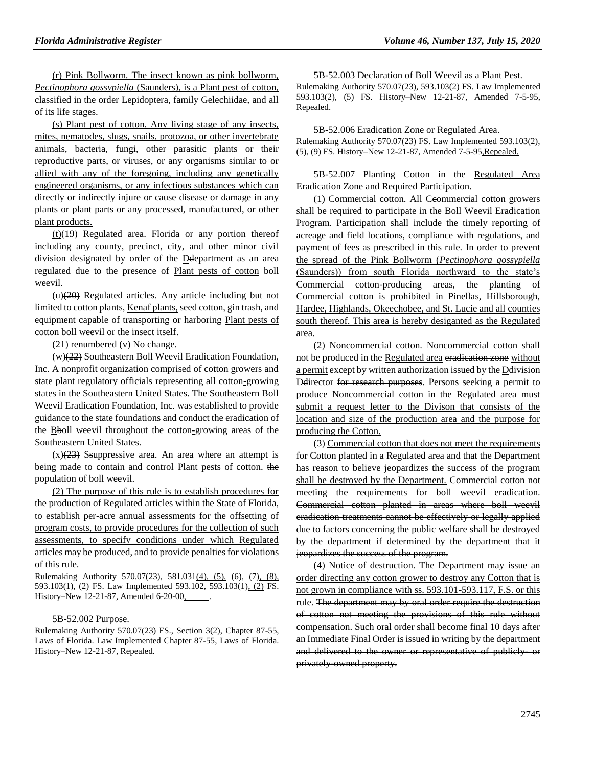(r) Pink Bollworm. The insect known as pink bollworm, *Pectinophora gossypiella* (Saunders), is a Plant pest of cotton, classified in the order Lepidoptera, family Gelechiidae, and all of its life stages.

(s) Plant pest of cotton. Any living stage of any insects, mites, nematodes, slugs, snails, protozoa, or other invertebrate animals, bacteria, fungi, other parasitic plants or their reproductive parts, or viruses, or any organisms similar to or allied with any of the foregoing, including any genetically engineered organisms, or any infectious substances which can directly or indirectly injure or cause disease or damage in any plants or plant parts or any processed, manufactured, or other plant products.

 $(t)(19)$  Regulated area. Florida or any portion thereof including any county, precinct, city, and other minor civil division designated by order of the Ddepartment as an area regulated due to the presence of Plant pests of cotton boll weevil.

 $(u)(20)$  Regulated articles. Any article including but not limited to cotton plants, Kenaf plants, seed cotton, gin trash, and equipment capable of transporting or harboring Plant pests of cotton boll weevil or the insect itself.

(21) renumbered (v) No change.

(w)(22) Southeastern Boll Weevil Eradication Foundation, Inc. A nonprofit organization comprised of cotton growers and state plant regulatory officials representing all cotton-growing states in the Southeastern United States. The Southeastern Boll Weevil Eradication Foundation, Inc. was established to provide guidance to the state foundations and conduct the eradication of the **B**boll weevil throughout the cotton-growing areas of the Southeastern United States.

 $(x)(23)$  Ssuppressive area. An area where an attempt is being made to contain and control Plant pests of cotton. the population of boll weevil.

(2) The purpose of this rule is to establish procedures for the production of Regulated articles within the State of Florida, to establish per-acre annual assessments for the offsetting of program costs, to provide procedures for the collection of such assessments, to specify conditions under which Regulated articles may be produced, and to provide penalties for violations of this rule.

Rulemaking Authority 570.07(23), 581.031(4), (5), (6), (7), (8), 593.103(1), (2) FS. Law Implemented 593.102, 593.103(1), (2) FS. History–New 12-21-87, Amended 6-20-00, ............

#### 5B-52.002 Purpose.

Rulemaking Authority 570.07(23) FS., Section 3(2), Chapter 87-55, Laws of Florida. Law Implemented Chapter 87-55, Laws of Florida. History–New 12-21-87, Repealed.

5B-52.003 Declaration of Boll Weevil as a Plant Pest. Rulemaking Authority 570.07(23), 593.103(2) FS. Law Implemented 593.103(2), (5) FS. History–New 12-21-87, Amended 7-5-95, Repealed.

5B-52.006 Eradication Zone or Regulated Area. Rulemaking Authority 570.07(23) FS. Law Implemented 593.103(2), (5), (9) FS. History–New 12-21-87, Amended 7-5-95,Repealed.

5B-52.007 Planting Cotton in the Regulated Area Eradication Zone and Required Participation.

(1) Commercial cotton. All Ceommercial cotton growers shall be required to participate in the Boll Weevil Eradication Program. Participation shall include the timely reporting of acreage and field locations, compliance with regulations, and payment of fees as prescribed in this rule. In order to prevent the spread of the Pink Bollworm (*Pectinophora gossypiella* (Saunders)) from south Florida northward to the state's Commercial cotton-producing areas, the planting of Commercial cotton is prohibited in Pinellas, Hillsborough, Hardee, Highlands, Okeechobee, and St. Lucie and all counties south thereof. This area is hereby desiganted as the Regulated area.

(2) Noncommercial cotton. Noncommercial cotton shall not be produced in the Regulated area eradication zone without a permit except by written authorization issued by the Delivision Delirector for research purposes. Persons seeking a permit to produce Noncommercial cotton in the Regulated area must submit a request letter to the Divison that consists of the location and size of the production area and the purpose for producing the Cotton.

(3) Commercial cotton that does not meet the requirements for Cotton planted in a Regulated area and that the Department has reason to believe jeopardizes the success of the program shall be destroyed by the Department. Commercial cotton not meeting the requirements for boll weevil eradication. Commercial cotton planted in areas where boll weevil eradication treatments cannot be effectively or legally applied due to factors concerning the public welfare shall be destroyed by the department if determined by the department that it jeopardizes the success of the program.

(4) Notice of destruction. The Department may issue an order directing any cotton grower to destroy any Cotton that is not grown in compliance with ss. 593.101-593.117, F.S. or this rule. The department may by oral order require the destruction of cotton not meeting the provisions of this rule without compensation. Such oral order shall become final 10 days after an Immediate Final Order is issued in writing by the department and delivered to the owner or representative of publicly- or privately-owned property.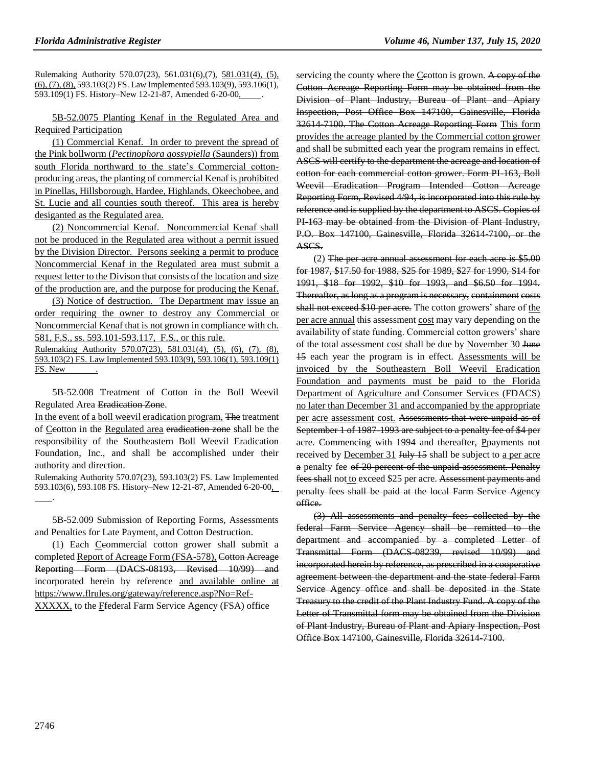Rulemaking Authority 570.07(23), 561.031(6),(7), 581.031(4), (5), (6), (7), (8), 593.103(2) FS. Law Implemented 593.103(9), 593.106(1), 593.109(1) FS. History–New 12-21-87, Amended 6-20-00,

## 5B-52.0075 Planting Kenaf in the Regulated Area and Required Participation

(1) Commercial Kenaf. In order to prevent the spread of the Pink bollworm (*Pectinophora gossypiella* (Saunders)) from south Florida northward to the state's Commercial cottonproducing areas, the planting of commercial Kenaf is prohibited in Pinellas, Hillsborough, Hardee, Highlands, Okeechobee, and St. Lucie and all counties south thereof. This area is hereby desiganted as the Regulated area.

(2) Noncommercial Kenaf. Noncommercial Kenaf shall not be produced in the Regulated area without a permit issued by the Division Director. Persons seeking a permit to produce Noncommercial Kenaf in the Regulated area must submit a request letter to the Divison that consists of the location and size of the production are, and the purpose for producing the Kenaf.

(3) Notice of destruction. The Department may issue an order requiring the owner to destroy any Commercial or Noncommercial Kenaf that is not grown in compliance with ch. 581, F.S., ss. 593.101-593.117, F.S., or this rule.

Rulemaking Authority 570.07(23), 581.031(4), (5), (6), (7), (8), 593.103(2) FS. Law Implemented 593.103(9), 593.106(1), 593.109(1) FS. New .

5B-52.008 Treatment of Cotton in the Boll Weevil Regulated Area Eradication Zone.

In the event of a boll weevil eradication program, The treatment of Ccotton in the Regulated area eradication zone shall be the responsibility of the Southeastern Boll Weevil Eradication Foundation, Inc., and shall be accomplished under their authority and direction.

Rulemaking Authority 570.07(23), 593.103(2) FS. Law Implemented 593.103(6), 593.108 FS. History–New 12-21-87, Amended 6-20-00, .

5B-52.009 Submission of Reporting Forms, Assessments and Penalties for Late Payment, and Cotton Destruction.

(1) Each Ceommercial cotton grower shall submit a completed Report of Acreage Form (FSA-578), Cotton Acreage Reporting Form (DACS-08193, Revised 10/99) and incorporated herein by reference and available online at https://www.flrules.org/gateway/reference.asp?No=Ref-XXXXX, to the Ffederal Farm Service Agency (FSA) office

servicing the county where the Ceotton is grown. A copy of the Cotton Acreage Reporting Form may be obtained from the Division of Plant Industry, Bureau of Plant and Apiary Inspection, Post Office Box 147100, Gainesville, Florida 32614-7100. The Cotton Acreage Reporting Form This form provides the acreage planted by the Commercial cotton grower and shall be submitted each year the program remains in effect. ASCS will certify to the department the acreage and location of cotton for each commercial cotton grower. Form PI-163, Boll Weevil Eradication Program Intended Cotton Acreage Reporting Form, Revised 4/94, is incorporated into this rule by reference and is supplied by the department to ASCS. Copies of PI-163 may be obtained from the Division of Plant Industry, P.O. Box 147100, Gainesville, Florida 32614 7100, or the ASCS.

 $(2)$  The per acre annual assessment for each acre is \$5.00 for 1987, \$17.50 for 1988, \$25 for 1989, \$27 for 1990, \$14 for 1991, \$18 for 1992, \$10 for 1993, and \$6.50 for 1994. Thereafter, as long as a program is necessary, containment costs shall not exceed \$10 per acre. The cotton growers' share of the per acre annual this assessment cost may vary depending on the availability of state funding. Commercial cotton growers' share of the total assessment cost shall be due by November 30 June 15 each year the program is in effect. Assessments will be invoiced by the Southeastern Boll Weevil Eradication Foundation and payments must be paid to the Florida Department of Agriculture and Consumer Services (FDACS) no later than December 31 and accompanied by the appropriate per acre assessment cost. Assessments that were unpaid as of September 1 of 1987-1993 are subject to a penalty fee of \$4 per acre. Commencing with 1994 and thereafter, Ppayments not received by December 31 July 15 shall be subject to a per acre a penalty fee of 20 percent of the unpaid assessment. Penalty fees shall not to exceed \$25 per acre. Assessment payments and penalty fees shall be paid at the local Farm Service Agency office.

(3) All assessments and penalty fees collected by the federal Farm Service Agency shall be remitted to the department and accompanied by a completed Letter of Transmittal Form (DACS-08239, revised 10/99) and incorporated herein by reference, as prescribed in a cooperative agreement between the department and the state federal Farm Service Agency office and shall be deposited in the State Treasury to the credit of the Plant Industry Fund. A copy of the Letter of Transmittal form may be obtained from the Division of Plant Industry, Bureau of Plant and Apiary Inspection, Post Office Box 147100, Gainesville, Florida 32614-7100.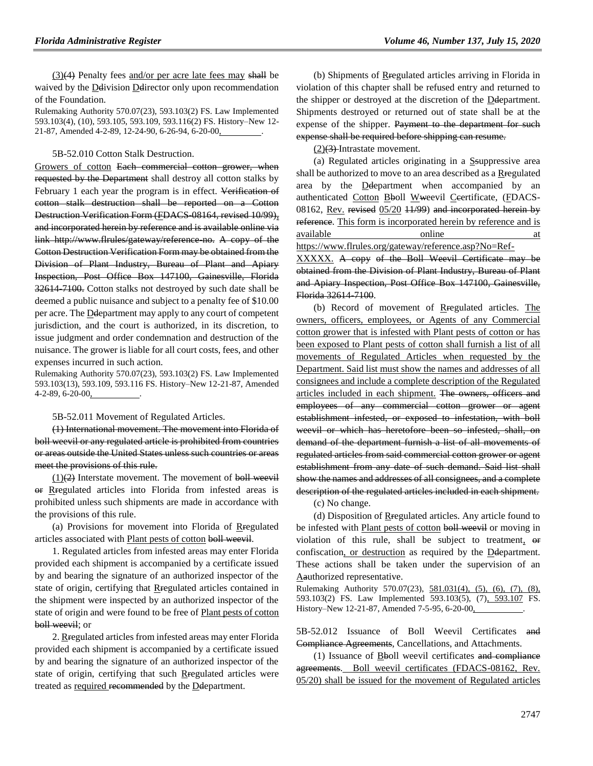(3)(4) Penalty fees and/or per acre late fees may shall be waived by the Delivision Delirector only upon recommendation of the Foundation.

Rulemaking Authority 570.07(23), 593.103(2) FS. Law Implemented 593.103(4), (10), 593.105, 593.109, 593.116(2) FS. History–New 12- 21-87, Amended 4-2-89, 12-24-90, 6-26-94, 6-20-00,

5B-52.010 Cotton Stalk Destruction.

Growers of cotton Each commercial cotton grower, when requested by the Department shall destroy all cotton stalks by February 1 each year the program is in effect. Verification of cotton stalk destruction shall be reported on a Cotton Destruction Verification Form (FDACS-08164, revised 10/99), and incorporated herein by reference and is available online via link http://www.flrules/gateway/reference no. A copy of the Cotton Destruction Verification Form may be obtained from the Division of Plant Industry, Bureau of Plant and Apiary Inspection, Post Office Box 147100, Gainesville, Florida 32614-7100. Cotton stalks not destroyed by such date shall be deemed a public nuisance and subject to a penalty fee of \$10.00 per acre. The Ddepartment may apply to any court of competent jurisdiction, and the court is authorized, in its discretion, to issue judgment and order condemnation and destruction of the nuisance. The grower is liable for all court costs, fees, and other expenses incurred in such action.

Rulemaking Authority 570.07(23), 593.103(2) FS. Law Implemented 593.103(13), 593.109, 593.116 FS. History–New 12-21-87, Amended 4-2-89, 6-20-00,

5B-52.011 Movement of Regulated Articles.

(1) International movement. The movement into Florida of boll weevil or any regulated article is prohibited from countries or areas outside the United States unless such countries or areas meet the provisions of this rule.

 $(1)(2)$  Interstate movement. The movement of boll weevil or Rregulated articles into Florida from infested areas is prohibited unless such shipments are made in accordance with the provisions of this rule.

(a) Provisions for movement into Florida of Rregulated articles associated with Plant pests of cotton boll weevil.

1. Regulated articles from infested areas may enter Florida provided each shipment is accompanied by a certificate issued by and bearing the signature of an authorized inspector of the state of origin, certifying that Rregulated articles contained in the shipment were inspected by an authorized inspector of the state of origin and were found to be free of Plant pests of cotton boll weevil; or

2. Rregulated articles from infested areas may enter Florida provided each shipment is accompanied by a certificate issued by and bearing the signature of an authorized inspector of the state of origin, certifying that such Rregulated articles were treated as required recommended by the Ddepartment.

(b) Shipments of Rregulated articles arriving in Florida in violation of this chapter shall be refused entry and returned to the shipper or destroyed at the discretion of the Ddepartment. Shipments destroyed or returned out of state shall be at the expense of the shipper. Payment to the department for such expense shall be required before shipping can resume.

 $(2)(3)$ -Intrastate movement.

(a) Regulated articles originating in a Ssuppressive area shall be authorized to move to an area described as a Rregulated area by the Ddepartment when accompanied by an authenticated Cotton Bboll Wweevil Ceertificate, (FDACS-08162, Rev. revised  $05/20$   $11/99$ ) and incorporated herein by reference. This form is incorporated herein by reference and is available online at https://www.flrules.org/gateway/reference.asp?No=Ref-

XXXXX. A copy of the Boll Weevil Certificate may be obtained from the Division of Plant Industry, Bureau of Plant and Apiary Inspection, Post Office Box 147100, Gainesville, Florida 32614-7100.

(b) Record of movement of Rregulated articles. The owners, officers, employees, or Agents of any Commercial cotton grower that is infested with Plant pests of cotton or has been exposed to Plant pests of cotton shall furnish a list of all movements of Regulated Articles when requested by the Department. Said list must show the names and addresses of all consignees and include a complete description of the Regulated articles included in each shipment. The owners, officers and employees of any commercial cotton grower or agent establishment infested, or exposed to infestation, with boll weevil or which has heretofore been so infested, shall, on demand of the department furnish a list of all movements of regulated articles from said commercial cotton grower or agent establishment from any date of such demand. Said list shall show the names and addresses of all consignees, and a complete description of the regulated articles included in each shipment.

(c) No change.

(d) Disposition of Rregulated articles. Any article found to be infested with Plant pests of cotton boll weevil or moving in violation of this rule, shall be subject to treatment, or confiscation, or destruction as required by the Deepartment. These actions shall be taken under the supervision of an Aauthorized representative.

Rulemaking Authority 570.07(23), 581.031(4), (5), (6), (7), (8), 593.103(2) FS. Law Implemented 593.103(5), (7), 593.107 FS. History–New 12-21-87, Amended 7-5-95, 6-20-00,

5B-52.012 Issuance of Boll Weevil Certificates and Compliance Agreements, Cancellations, and Attachments.

(1) Issuance of Bboll weevil certificates and compliance agreements. Boll weevil certificates (FDACS-08162, Rev. 05/20) shall be issued for the movement of Regulated articles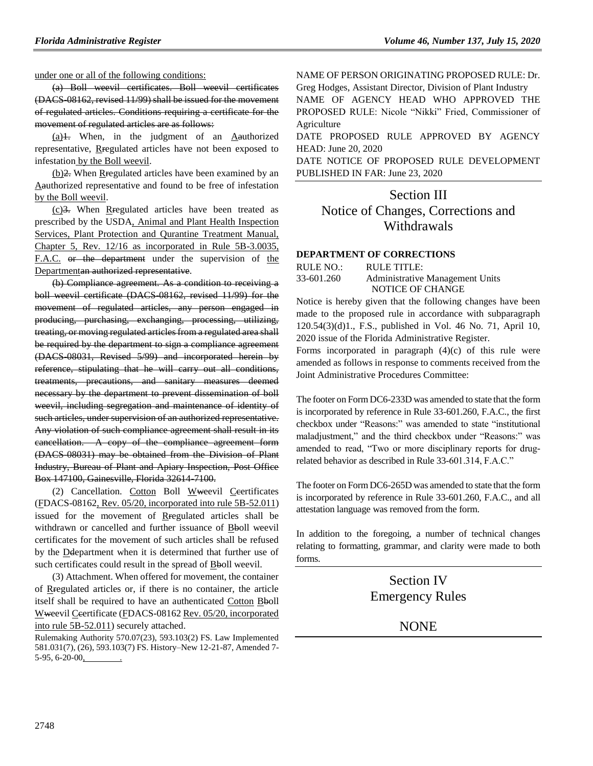under one or all of the following conditions:

(a) Boll weevil certificates. Boll weevil certificates (DACS-08162, revised 11/99) shall be issued for the movement of regulated articles. Conditions requiring a certificate for the movement of regulated articles are as follows:

 $(a)$ 1. When, in the judgment of an Aauthorized representative, Rregulated articles have not been exposed to infestation by the Boll weevil.

(b)2. When Rregulated articles have been examined by an Aauthorized representative and found to be free of infestation by the Boll weevil.

(c)3. When Rregulated articles have been treated as prescribed by the USDA, Animal and Plant Health Inspection Services, Plant Protection and Qurantine Treatment Manual, Chapter 5, Rev. 12/16 as incorporated in Rule 5B-3.0035, F.A.C. or the department under the supervision of the Departmentan authorized representative.

(b) Compliance agreement. As a condition to receiving a boll weevil certificate (DACS-08162, revised 11/99) for the movement of regulated articles, any person engaged in producing, purchasing, exchanging, processing, utilizing, treating, or moving regulated articles from a regulated area shall be required by the department to sign a compliance agreement (DACS-08031, Revised 5/99) and incorporated herein by reference, stipulating that he will carry out all conditions, treatments, precautions, and sanitary measures deemed necessary by the department to prevent dissemination of boll weevil, including segregation and maintenance of identity of such articles, under supervision of an authorized representative. Any violation of such compliance agreement shall result in its cancellation. A copy of the compliance agreement form (DACS-08031) may be obtained from the Division of Plant Industry, Bureau of Plant and Apiary Inspection, Post Office Box 147100, Gainesville, Florida 32614-7100.

(2) Cancellation. Cotton Boll Wweevil Ceertificates (FDACS-08162, Rev. 05/20, incorporated into rule 5B-52.011) issued for the movement of Reegulated articles shall be withdrawn or cancelled and further issuance of Bboll weevil certificates for the movement of such articles shall be refused by the **D**department when it is determined that further use of such certificates could result in the spread of Bboll weevil.

(3) Attachment. When offered for movement, the container of Rregulated articles or, if there is no container, the article itself shall be required to have an authenticated Cotton Bboll Wweevil Ceertificate (FDACS-08162 Rev. 05/20, incorporated into rule 5B-52.011) securely attached.

Rulemaking Authority 570.07(23), 593.103(2) FS. Law Implemented 581.031(7), (26), 593.103(7) FS. History–New 12-21-87, Amended 7- 5-95, 6-20-00,

NAME OF PERSON ORIGINATING PROPOSED RULE: Dr. Greg Hodges, Assistant Director, Division of Plant Industry

NAME OF AGENCY HEAD WHO APPROVED THE PROPOSED RULE: Nicole "Nikki" Fried, Commissioner of Agriculture

DATE PROPOSED RULE APPROVED BY AGENCY HEAD: June 20, 2020

DATE NOTICE OF PROPOSED RULE DEVELOPMENT PUBLISHED IN FAR: June 23, 2020

## Section III Notice of Changes, Corrections and Withdrawals

#### **[DEPARTMENT OF CORRECTIONS](https://www.flrules.org/gateway/department.asp?id=33)**

| RULE NO.:  | RULE TITLE:                     |
|------------|---------------------------------|
| 33-601.260 | Administrative Management Units |
|            | NOTICE OF CHANGE                |

Notice is hereby given that the following changes have been made to the proposed rule in accordance with subparagraph 120.54(3)(d)1., F.S., published in Vol. 46 No. 71, April 10, 2020 issue of the Florida Administrative Register.

Forms incorporated in paragraph  $(4)(c)$  of this rule were amended as follows in response to comments received from the Joint Administrative Procedures Committee:

The footer on Form DC6-233D was amended to state that the form is incorporated by reference in Rule 33-601.260, F.A.C., the first checkbox under "Reasons:" was amended to state "institutional maladjustment," and the third checkbox under "Reasons:" was amended to read, "Two or more disciplinary reports for drugrelated behavior as described in Rule 33-601.314, F.A.C."

The footer on Form DC6-265D was amended to state that the form is incorporated by reference in Rule 33-601.260, F.A.C., and all attestation language was removed from the form.

In addition to the foregoing, a number of technical changes relating to formatting, grammar, and clarity were made to both forms.

> Section IV Emergency Rules

> > NONE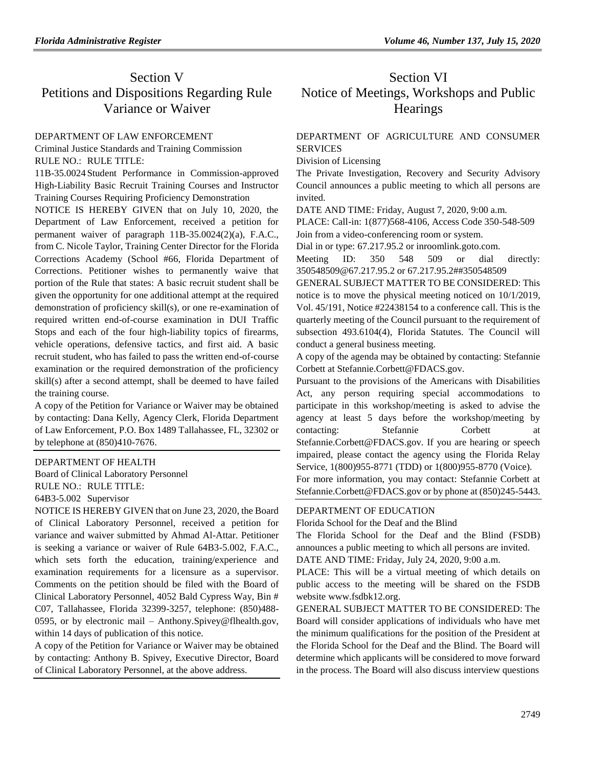## Section V Petitions and Dispositions Regarding Rule Variance or Waiver

### [DEPARTMENT OF LAW ENFORCEMENT](https://www.flrules.org/gateway/department.asp?id=11)

[Criminal Justice Standards and Training Commission](https://www.flrules.org/gateway/organization.asp?id=20) RULE NO.: RULE TITLE:

[11B-35.0024](https://www.flrules.org/gateway/ruleNo.asp?id=11B-35.0024) Student Performance in Commission-approved High-Liability Basic Recruit Training Courses and Instructor Training Courses Requiring Proficiency Demonstration

NOTICE IS HEREBY GIVEN that on July 10, 2020, the Department of Law Enforcement, received a petition for permanent waiver of paragraph 11B-35.0024(2)(a), F.A.C., from C. Nicole Taylor, Training Center Director for the Florida Corrections Academy (School #66, Florida Department of Corrections. Petitioner wishes to permanently waive that portion of the Rule that states: A basic recruit student shall be given the opportunity for one additional attempt at the required demonstration of proficiency skill(s), or one re-examination of required written end-of-course examination in DUI Traffic Stops and each of the four high-liability topics of firearms, vehicle operations, defensive tactics, and first aid. A basic recruit student, who has failed to pass the written end-of-course examination or the required demonstration of the proficiency skill(s) after a second attempt, shall be deemed to have failed the training course.

A copy of the Petition for Variance or Waiver may be obtained by contacting: Dana Kelly, Agency Clerk, Florida Department of Law Enforcement, P.O. Box 1489 Tallahassee, FL, 32302 or by telephone at (850)410-7676.

### [DEPARTMENT OF HEALTH](https://www.flrules.org/gateway/department.asp?id=64)

[Board of Clinical Laboratory Personnel](https://www.flrules.org/gateway/organization.asp?id=322) RULE NO.: RULE TITLE: [64B3-5.002](https://www.flrules.org/gateway/ruleNo.asp?id=64B3-5.002) Supervisor

NOTICE IS HEREBY GIVEN that on June 23, 2020, the Board of Clinical Laboratory Personnel, received a petition for variance and waiver submitted by Ahmad Al-Attar. Petitioner is seeking a variance or waiver of Rule 64B3-5.002, F.A.C., which sets forth the education, training/experience and examination requirements for a licensure as a supervisor. Comments on the petition should be filed with the Board of Clinical Laboratory Personnel, 4052 Bald Cypress Way, Bin # C07, Tallahassee, Florida 32399-3257, telephone: (850)488- 0595, or by electronic mail – Anthony.Spivey@flhealth.gov, within 14 days of publication of this notice.

A copy of the Petition for Variance or Waiver may be obtained by contacting: Anthony B. Spivey, Executive Director, Board of Clinical Laboratory Personnel, at the above address.

# Section VI Notice of Meetings, Workshops and Public **Hearings**

## [DEPARTMENT OF AGRICULTURE AND CONSUMER](https://www.flrules.org/gateway/department.asp?id=5)  **[SERVICES](https://www.flrules.org/gateway/department.asp?id=5)**

[Division of Licensing](https://www.flrules.org/gateway/organization.asp?id=756)

The Private Investigation, Recovery and Security Advisory Council announces a public meeting to which all persons are invited.

DATE AND TIME: Friday, August 7, 2020, 9:00 a.m.

PLACE: Call-in: 1(877)568-4106, Access Code 350-548-509 Join from a video-conferencing room or system.

Dial in or type: 67.217.95.2 or inroomlink.goto.com.

Meeting ID: 350 548 509 or dial directly: 350548509@67.217.95.2 or 67.217.95.2##350548509

GENERAL SUBJECT MATTER TO BE CONSIDERED: This notice is to move the physical meeting noticed on 10/1/2019, Vol. 45/191, Notice #22438154 to a conference call. This is the quarterly meeting of the Council pursuant to the requirement of subsection 493.6104(4), Florida Statutes. The Council will conduct a general business meeting.

A copy of the agenda may be obtained by contacting: Stefannie Corbett at Stefannie.Corbett@FDACS.gov.

Pursuant to the provisions of the Americans with Disabilities Act, any person requiring special accommodations to participate in this workshop/meeting is asked to advise the agency at least 5 days before the workshop/meeting by contacting: Stefannie Corbett at Stefannie.Corbett@FDACS.gov. If you are hearing or speech impaired, please contact the agency using the Florida Relay Service, 1(800)955-8771 (TDD) or 1(800)955-8770 (Voice). For more information, you may contact: Stefannie Corbett at Stefannie.Corbett@FDACS.gov or by phone at (850)245-5443.

## [DEPARTMENT OF EDUCATION](https://www.flrules.org/gateway/department.asp?id=6)

[Florida School for the Deaf and the Blind](https://www.flrules.org/gateway/organization.asp?id=208)

The Florida School for the Deaf and the Blind (FSDB) announces a public meeting to which all persons are invited. DATE AND TIME: Friday, July 24, 2020, 9:00 a.m.

PLACE: This will be a virtual meeting of which details on public access to the meeting will be shared on the FSDB website www.fsdbk12.org.

GENERAL SUBJECT MATTER TO BE CONSIDERED: The Board will consider applications of individuals who have met the minimum qualifications for the position of the President at the Florida School for the Deaf and the Blind. The Board will determine which applicants will be considered to move forward in the process. The Board will also discuss interview questions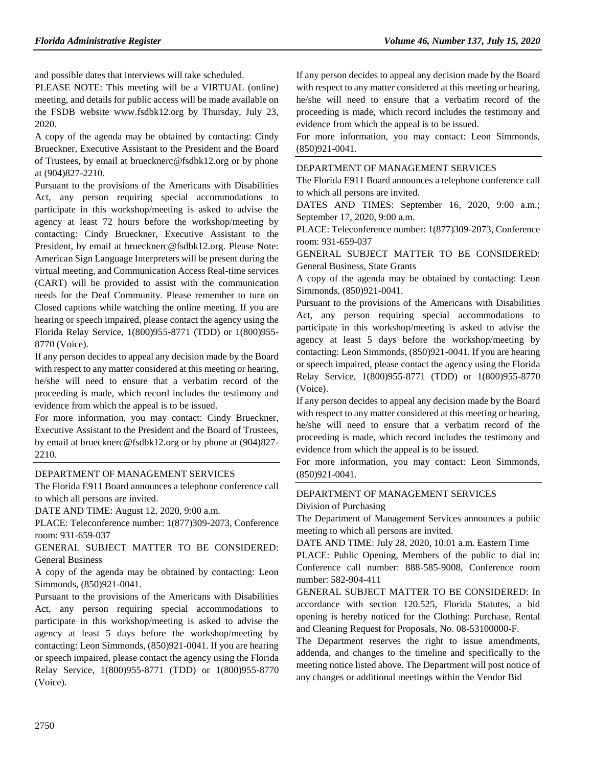and possible dates that interviews will take scheduled.

PLEASE NOTE: This meeting will be a VIRTUAL (online) meeting, and details for public access will be made available on the FSDB website www.fsdbk12.org by Thursday, July 23, 2020.

A copy of the agenda may be obtained by contacting: Cindy Brueckner, Executive Assistant to the President and the Board of Trustees, by email at bruecknerc@fsdbk12.org or by phone at (904)827-2210.

Pursuant to the provisions of the Americans with Disabilities Act, any person requiring special accommodations to participate in this workshop/meeting is asked to advise the agency at least 72 hours before the workshop/meeting by contacting: Cindy Brueckner, Executive Assistant to the President, by email at bruecknerc@fsdbk12.org. Please Note: American Sign Language Interpreters will be present during the virtual meeting, and Communication Access Real-time services (CART) will be provided to assist with the communication needs for the Deaf Community. Please remember to turn on Closed captions while watching the online meeting. If you are hearing or speech impaired, please contact the agency using the Florida Relay Service, 1(800)955-8771 (TDD) or 1(800)955- 8770 (Voice).

If any person decides to appeal any decision made by the Board with respect to any matter considered at this meeting or hearing, he/she will need to ensure that a verbatim record of the proceeding is made, which record includes the testimony and evidence from which the appeal is to be issued.

For more information, you may contact: Cindy Brueckner, Executive Assistant to the President and the Board of Trustees, by email at bruecknerc@fsdbk12.org or by phone at (904)827- 2210.

### [DEPARTMENT OF MANAGEMENT SERVICES](https://www.flrules.org/gateway/department.asp?id=60)

The Florida E911 Board announces a telephone conference call to which all persons are invited.

DATE AND TIME: August 12, 2020, 9:00 a.m.

PLACE: Teleconference number: 1(877)309-2073, Conference room: 931-659-037

GENERAL SUBJECT MATTER TO BE CONSIDERED: General Business

A copy of the agenda may be obtained by contacting: Leon Simmonds, (850)921-0041.

Pursuant to the provisions of the Americans with Disabilities Act, any person requiring special accommodations to participate in this workshop/meeting is asked to advise the agency at least 5 days before the workshop/meeting by contacting: Leon Simmonds, (850)921-0041. If you are hearing or speech impaired, please contact the agency using the Florida Relay Service, 1(800)955-8771 (TDD) or 1(800)955-8770 (Voice).

If any person decides to appeal any decision made by the Board with respect to any matter considered at this meeting or hearing, he/she will need to ensure that a verbatim record of the proceeding is made, which record includes the testimony and evidence from which the appeal is to be issued.

For more information, you may contact: Leon Simmonds, (850)921-0041.

#### [DEPARTMENT OF MANAGEMENT SERVICES](https://www.flrules.org/gateway/department.asp?id=60)

The Florida E911 Board announces a telephone conference call to which all persons are invited.

DATES AND TIMES: September 16, 2020, 9:00 a.m.; September 17, 2020, 9:00 a.m.

PLACE: Teleconference number: 1(877)309-2073, Conference room: 931-659-037

GENERAL SUBJECT MATTER TO BE CONSIDERED: General Business, State Grants

A copy of the agenda may be obtained by contacting: Leon Simmonds, (850)921-0041.

Pursuant to the provisions of the Americans with Disabilities Act, any person requiring special accommodations to participate in this workshop/meeting is asked to advise the agency at least 5 days before the workshop/meeting by contacting: Leon Simmonds, (850)921-0041. If you are hearing or speech impaired, please contact the agency using the Florida Relay Service, 1(800)955-8771 (TDD) or 1(800)955-8770 (Voice).

If any person decides to appeal any decision made by the Board with respect to any matter considered at this meeting or hearing, he/she will need to ensure that a verbatim record of the proceeding is made, which record includes the testimony and evidence from which the appeal is to be issued.

For more information, you may contact: Leon Simmonds, (850)921-0041.

### [DEPARTMENT OF MANAGEMENT SERVICES](https://www.flrules.org/gateway/department.asp?id=60) [Division of Purchasing](https://www.flrules.org/gateway/organization.asp?id=220)

The Department of Management Services announces a public meeting to which all persons are invited.

DATE AND TIME: July 28, 2020, 10:01 a.m. Eastern Time

PLACE: Public Opening, Members of the public to dial in: Conference call number: 888-585-9008, Conference room number: 582-904-411

GENERAL SUBJECT MATTER TO BE CONSIDERED: In accordance with section 120.525, Florida Statutes, a bid opening is hereby noticed for the Clothing: Purchase, Rental and Cleaning Request for Proposals, No. 08-53100000-F.

The Department reserves the right to issue amendments, addenda, and changes to the timeline and specifically to the meeting notice listed above. The Department will post notice of any changes or additional meetings within the Vendor Bid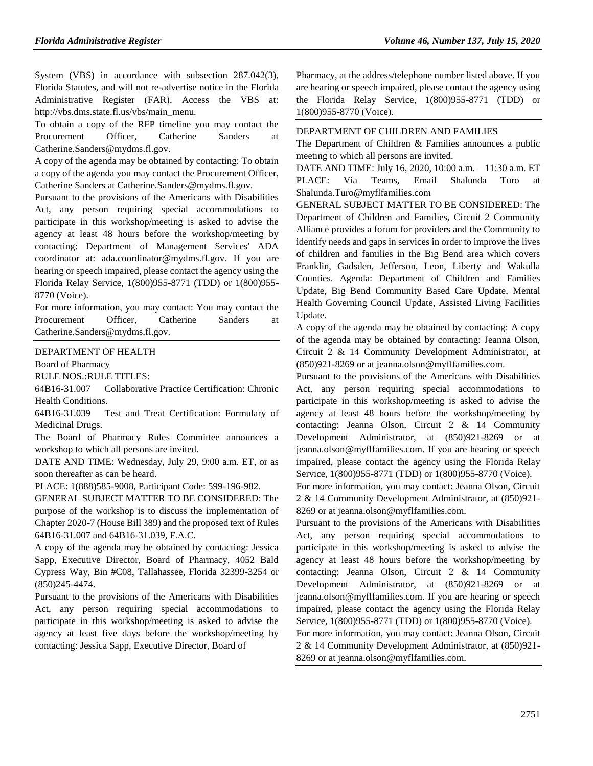System (VBS) in accordance with subsection 287.042(3), Florida Statutes, and will not re-advertise notice in the Florida Administrative Register (FAR). Access the VBS at: http://vbs.dms.state.fl.us/vbs/main\_menu.

To obtain a copy of the RFP timeline you may contact the Procurement Officer, Catherine Sanders at Catherine.Sanders@mydms.fl.gov.

A copy of the agenda may be obtained by contacting: To obtain a copy of the agenda you may contact the Procurement Officer, Catherine Sanders at Catherine.Sanders@mydms.fl.gov.

Pursuant to the provisions of the Americans with Disabilities Act, any person requiring special accommodations to participate in this workshop/meeting is asked to advise the agency at least 48 hours before the workshop/meeting by contacting: Department of Management Services' ADA coordinator at: ada.coordinator@mydms.fl.gov. If you are hearing or speech impaired, please contact the agency using the Florida Relay Service, 1(800)955-8771 (TDD) or 1(800)955- 8770 (Voice).

For more information, you may contact: You may contact the Procurement Officer, Catherine Sanders at Catherine.Sanders@mydms.fl.gov.

[DEPARTMENT OF HEALTH](https://www.flrules.org/gateway/department.asp?id=64)

[Board of Pharmacy](https://www.flrules.org/gateway/organization.asp?id=307)

RULE NOS.:RULE TITLES:

[64B16-31.007](https://www.flrules.org/gateway/ruleNo.asp?id=64B16-31.007) Collaborative Practice Certification: Chronic Health Conditions.

[64B16-31.039](https://www.flrules.org/gateway/ruleNo.asp?id=64B16-31.039) Test and Treat Certification: Formulary of Medicinal Drugs.

The Board of Pharmacy Rules Committee announces a workshop to which all persons are invited.

DATE AND TIME: Wednesday, July 29, 9:00 a.m. ET, or as soon thereafter as can be heard.

PLACE: 1(888)585-9008, Participant Code: 599-196-982.

GENERAL SUBJECT MATTER TO BE CONSIDERED: The purpose of the workshop is to discuss the implementation of Chapter 2020-7 (House Bill 389) and the proposed text of Rules 64B16-31.007 and 64B16-31.039, F.A.C.

A copy of the agenda may be obtained by contacting: Jessica Sapp, Executive Director, Board of Pharmacy, 4052 Bald Cypress Way, Bin #C08, Tallahassee, Florida 32399-3254 or (850)245-4474.

Pursuant to the provisions of the Americans with Disabilities Act, any person requiring special accommodations to participate in this workshop/meeting is asked to advise the agency at least five days before the workshop/meeting by contacting: Jessica Sapp, Executive Director, Board of

Pharmacy, at the address/telephone number listed above. If you are hearing or speech impaired, please contact the agency using the Florida Relay Service, 1(800)955-8771 (TDD) or 1(800)955-8770 (Voice).

#### [DEPARTMENT OF CHILDREN AND FAMILIES](https://www.flrules.org/gateway/department.asp?id=65)

The Department of Children & Families announces a public meeting to which all persons are invited.

DATE AND TIME: July 16, 2020, 10:00 a.m. – 11:30 a.m. ET PLACE: Via Teams, Email Shalunda Turo at Shalunda.Turo@myflfamilies.com

GENERAL SUBJECT MATTER TO BE CONSIDERED: The Department of Children and Families, Circuit 2 Community Alliance provides a forum for providers and the Community to identify needs and gaps in services in order to improve the lives of children and families in the Big Bend area which covers Franklin, Gadsden, Jefferson, Leon, Liberty and Wakulla Counties. Agenda: Department of Children and Families Update, Big Bend Community Based Care Update, Mental Health Governing Council Update, Assisted Living Facilities Update.

A copy of the agenda may be obtained by contacting: A copy of the agenda may be obtained by contacting: Jeanna Olson, Circuit 2 & 14 Community Development Administrator, at (850)921-8269 or at jeanna.olson@myflfamilies.com.

Pursuant to the provisions of the Americans with Disabilities Act, any person requiring special accommodations to participate in this workshop/meeting is asked to advise the agency at least 48 hours before the workshop/meeting by contacting: Jeanna Olson, Circuit 2 & 14 Community Development Administrator, at (850)921-8269 or at jeanna.olson@myflfamilies.com. If you are hearing or speech impaired, please contact the agency using the Florida Relay Service, 1(800)955-8771 (TDD) or 1(800)955-8770 (Voice).

For more information, you may contact: Jeanna Olson, Circuit 2 & 14 Community Development Administrator, at (850)921- 8269 or at jeanna.olson@myflfamilies.com.

Pursuant to the provisions of the Americans with Disabilities Act, any person requiring special accommodations to participate in this workshop/meeting is asked to advise the agency at least 48 hours before the workshop/meeting by contacting: Jeanna Olson, Circuit 2 & 14 Community Development Administrator, at (850)921-8269 or at jeanna.olson@myflfamilies.com. If you are hearing or speech impaired, please contact the agency using the Florida Relay Service, 1(800)955-8771 (TDD) or 1(800)955-8770 (Voice).

For more information, you may contact: Jeanna Olson, Circuit 2 & 14 Community Development Administrator, at (850)921- 8269 or at jeanna.olson@myflfamilies.com.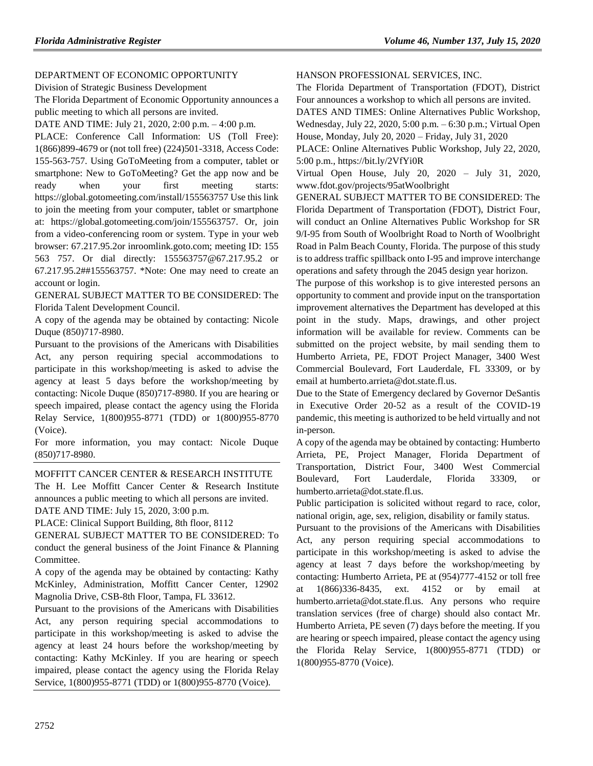## [DEPARTMENT OF ECONOMIC OPPORTUNITY](https://www.flrules.org/gateway/department.asp?id=73)

[Division of Strategic Business Development](https://www.flrules.org/gateway/organization.asp?id=1064)

The Florida Department of Economic Opportunity announces a public meeting to which all persons are invited.

DATE AND TIME: July 21, 2020, 2:00 p.m. – 4:00 p.m.

PLACE: Conference Call Information: US (Toll Free): 1(866)899-4679 or (not toll free) (224)501-3318, Access Code: 155-563-757. Using GoToMeeting from a computer, tablet or smartphone: New to GoToMeeting? Get the app now and be ready when your first meeting starts: https://global.gotomeeting.com/install/155563757 Use this link to join the meeting from your computer, tablet or smartphone at: https://global.gotomeeting.com/join/155563757. Or, join from a video-conferencing room or system. Type in your web browser: 67.217.95.2or inroomlink.goto.com; meeting ID: 155 563 757. Or dial directly: 155563757@67.217.95.2 or 67.217.95.2##155563757. \*Note: One may need to create an account or login.

GENERAL SUBJECT MATTER TO BE CONSIDERED: The Florida Talent Development Council.

A copy of the agenda may be obtained by contacting: Nicole Duque (850)717-8980.

Pursuant to the provisions of the Americans with Disabilities Act, any person requiring special accommodations to participate in this workshop/meeting is asked to advise the agency at least 5 days before the workshop/meeting by contacting: Nicole Duque (850)717-8980. If you are hearing or speech impaired, please contact the agency using the Florida Relay Service, 1(800)955-8771 (TDD) or 1(800)955-8770 (Voice).

For more information, you may contact: Nicole Duque (850)717-8980.

## [MOFFITT CANCER CENTER & RESEARCH INSTITUTE](https://www.flrules.org/gateway/organization.asp?id=579)

The H. Lee Moffitt Cancer Center & Research Institute announces a public meeting to which all persons are invited. DATE AND TIME: July 15, 2020, 3:00 p.m.

PLACE: Clinical Support Building, 8th floor, 8112

GENERAL SUBJECT MATTER TO BE CONSIDERED: To conduct the general business of the Joint Finance & Planning Committee.

A copy of the agenda may be obtained by contacting: Kathy McKinley, Administration, Moffitt Cancer Center, 12902 Magnolia Drive, CSB-8th Floor, Tampa, FL 33612.

Pursuant to the provisions of the Americans with Disabilities Act, any person requiring special accommodations to participate in this workshop/meeting is asked to advise the agency at least 24 hours before the workshop/meeting by contacting: Kathy McKinley. If you are hearing or speech impaired, please contact the agency using the Florida Relay Service, 1(800)955-8771 (TDD) or 1(800)955-8770 (Voice).

### [HANSON PROFESSIONAL SERVICES, INC.](https://www.flrules.org/gateway/organization.asp?id=1252)

The Florida Department of Transportation (FDOT), District Four announces a workshop to which all persons are invited.

DATES AND TIMES: Online Alternatives Public Workshop, Wednesday, July 22, 2020, 5:00 p.m. – 6:30 p.m.; Virtual Open House, Monday, July 20, 2020 – Friday, July 31, 2020

PLACE: Online Alternatives Public Workshop, July 22, 2020, 5:00 p.m., https://bit.ly/2VfYi0R

Virtual Open House, July 20, 2020 – July 31, 2020, www.fdot.gov/projects/95atWoolbright

GENERAL SUBJECT MATTER TO BE CONSIDERED: The Florida Department of Transportation (FDOT), District Four, will conduct an Online Alternatives Public Workshop for SR 9/I-95 from South of Woolbright Road to North of Woolbright Road in Palm Beach County, Florida. The purpose of this study is to address traffic spillback onto I-95 and improve interchange operations and safety through the 2045 design year horizon.

The purpose of this workshop is to give interested persons an opportunity to comment and provide input on the transportation improvement alternatives the Department has developed at this point in the study. Maps, drawings, and other project information will be available for review. Comments can be submitted on the project website, by mail sending them to Humberto Arrieta, PE, FDOT Project Manager, 3400 West Commercial Boulevard, Fort Lauderdale, FL 33309, or by email at humberto.arrieta@dot.state.fl.us.

Due to the State of Emergency declared by Governor DeSantis in Executive Order 20-52 as a result of the COVID-19 pandemic, this meeting is authorized to be held virtually and not in-person.

A copy of the agenda may be obtained by contacting: Humberto Arrieta, PE, Project Manager, Florida Department of Transportation, District Four, 3400 West Commercial Boulevard, Fort Lauderdale, Florida 33309, or humberto.arrieta@dot.state.fl.us.

Public participation is solicited without regard to race, color, national origin, age, sex, religion, disability or family status.

Pursuant to the provisions of the Americans with Disabilities Act, any person requiring special accommodations to participate in this workshop/meeting is asked to advise the agency at least 7 days before the workshop/meeting by contacting: Humberto Arrieta, PE at (954)777-4152 or toll free at 1(866)336-8435, ext. 4152 or by email at humberto.arrieta@dot.state.fl.us. Any persons who require translation services (free of charge) should also contact Mr. Humberto Arrieta, PE seven (7) days before the meeting. If you are hearing or speech impaired, please contact the agency using the Florida Relay Service, 1(800)955-8771 (TDD) or 1(800)955-8770 (Voice).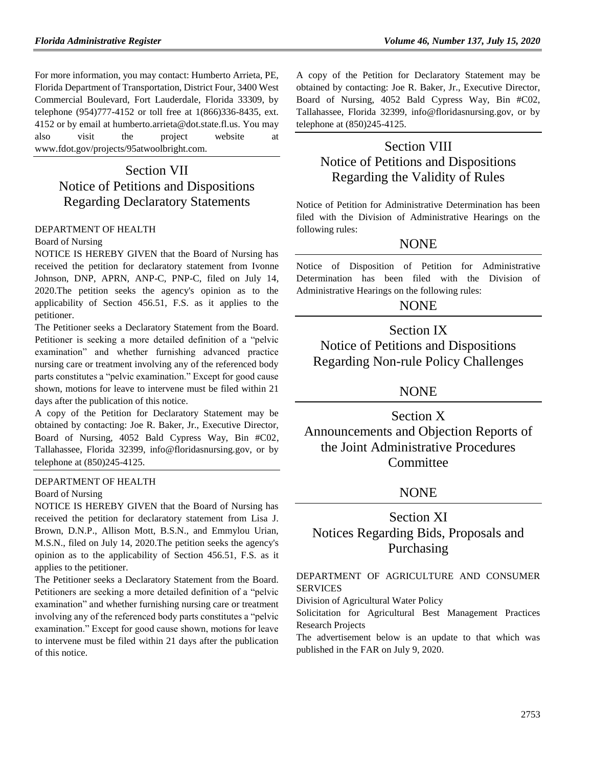For more information, you may contact: Humberto Arrieta, PE, Florida Department of Transportation, District Four, 3400 West Commercial Boulevard, Fort Lauderdale, Florida 33309, by telephone (954)777-4152 or toll free at 1(866)336-8435, ext. 4152 or by email at humberto.arrieta@dot.state.fl.us. You may also visit the project website at www.fdot.gov/projects/95atwoolbright.com.

# Section VII Notice of Petitions and Dispositions Regarding Declaratory Statements

### [DEPARTMENT OF HEALTH](https://www.flrules.org/gateway/department.asp?id=64)

#### [Board of Nursing](https://www.flrules.org/gateway/organization.asp?id=332)

NOTICE IS HEREBY GIVEN that the Board of Nursing has received the petition for declaratory statement from Ivonne Johnson, DNP, APRN, ANP-C, PNP-C, filed on July 14, 2020.The petition seeks the agency's opinion as to the applicability of Section 456.51, F.S. as it applies to the petitioner.

The Petitioner seeks a Declaratory Statement from the Board. Petitioner is seeking a more detailed definition of a "pelvic examination" and whether furnishing advanced practice nursing care or treatment involving any of the referenced body parts constitutes a "pelvic examination." Except for good cause shown, motions for leave to intervene must be filed within 21 days after the publication of this notice.

A copy of the Petition for Declaratory Statement may be obtained by contacting: Joe R. Baker, Jr., Executive Director, Board of Nursing, 4052 Bald Cypress Way, Bin #C02, Tallahassee, Florida 32399, info@floridasnursing.gov, or by telephone at (850)245-4125.

#### [DEPARTMENT OF HEALTH](https://www.flrules.org/gateway/department.asp?id=64)

#### [Board of Nursing](https://www.flrules.org/gateway/organization.asp?id=332)

NOTICE IS HEREBY GIVEN that the Board of Nursing has received the petition for declaratory statement from Lisa J. Brown, D.N.P., Allison Mott, B.S.N., and Emmylou Urian, M.S.N., filed on July 14, 2020.The petition seeks the agency's opinion as to the applicability of Section 456.51, F.S. as it applies to the petitioner.

The Petitioner seeks a Declaratory Statement from the Board. Petitioners are seeking a more detailed definition of a "pelvic examination" and whether furnishing nursing care or treatment involving any of the referenced body parts constitutes a "pelvic examination." Except for good cause shown, motions for leave to intervene must be filed within 21 days after the publication of this notice.

A copy of the Petition for Declaratory Statement may be obtained by contacting: Joe R. Baker, Jr., Executive Director, Board of Nursing, 4052 Bald Cypress Way, Bin #C02, Tallahassee, Florida 32399, info@floridasnursing.gov, or by telephone at (850)245-4125.

# Section VIII Notice of Petitions and Dispositions Regarding the Validity of Rules

Notice of Petition for Administrative Determination has been filed with the Division of Administrative Hearings on the following rules:

## NONE

Notice of Disposition of Petition for Administrative Determination has been filed with the Division of Administrative Hearings on the following rules:

## **NONE**

Section IX Notice of Petitions and Dispositions Regarding Non-rule Policy Challenges

## NONE

Section X Announcements and Objection Reports of the Joint Administrative Procedures **Committee** 

## NONE

# Section XI Notices Regarding Bids, Proposals and Purchasing

## [DEPARTMENT OF AGRICULTURE AND CONSUMER](https://www.flrules.org/gateway/department.asp?id=5)  [SERVICES](https://www.flrules.org/gateway/department.asp?id=5)

[Division of Agricultural Water Policy](https://www.flrules.org/gateway/organization.asp?id=173)

Solicitation for Agricultural Best Management Practices Research Projects

The advertisement below is an update to that which was published in the FAR on July 9, 2020.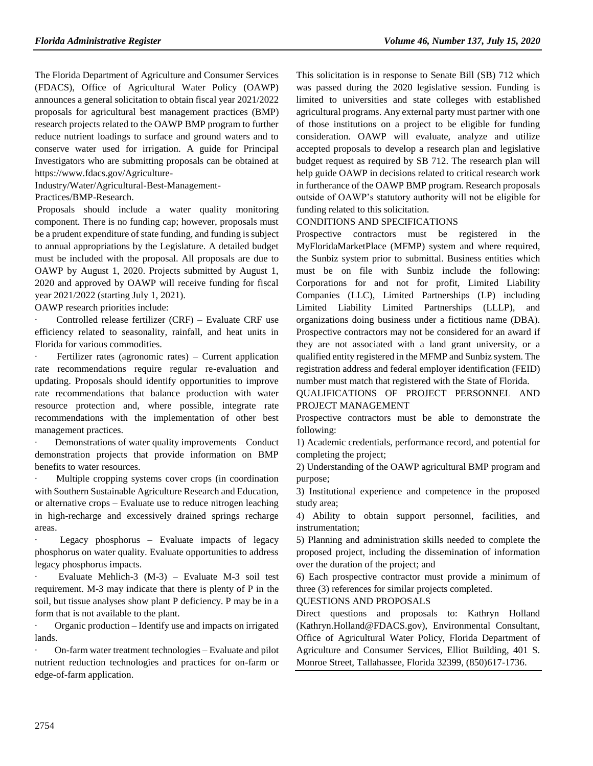The Florida Department of Agriculture and Consumer Services (FDACS), Office of Agricultural Water Policy (OAWP) announces a general solicitation to obtain fiscal year 2021/2022 proposals for agricultural best management practices (BMP) research projects related to the OAWP BMP program to further reduce nutrient loadings to surface and ground waters and to conserve water used for irrigation. A guide for Principal Investigators who are submitting proposals can be obtained at [https://www.fdacs.gov/Agriculture-](https://www.fdacs.gov/Agriculture-Industry/Water/Agricultural-Best-Management-Practices/BMP-Research)

[Industry/Water/Agricultural-Best-Management-](https://www.fdacs.gov/Agriculture-Industry/Water/Agricultural-Best-Management-Practices/BMP-Research)

[Practices/BMP-Research.](https://www.fdacs.gov/Agriculture-Industry/Water/Agricultural-Best-Management-Practices/BMP-Research)

Proposals should include a water quality monitoring component. There is no funding cap; however, proposals must be a prudent expenditure of state funding, and funding is subject to annual appropriations by the Legislature. A detailed budget must be included with the proposal. All proposals are due to OAWP by August 1, 2020. Projects submitted by August 1, 2020 and approved by OAWP will receive funding for fiscal year 2021/2022 (starting July 1, 2021).

OAWP research priorities include:

Controlled release fertilizer (CRF) – Evaluate CRF use efficiency related to seasonality, rainfall, and heat units in Florida for various commodities.

Fertilizer rates (agronomic rates) – Current application rate recommendations require regular re-evaluation and updating. Proposals should identify opportunities to improve rate recommendations that balance production with water resource protection and, where possible, integrate rate recommendations with the implementation of other best management practices.

Demonstrations of water quality improvements – Conduct demonstration projects that provide information on BMP benefits to water resources.

Multiple cropping systems cover crops (in coordination with Southern Sustainable Agriculture Research and Education, or alternative crops – Evaluate use to reduce nitrogen leaching in high-recharge and excessively drained springs recharge areas.

Legacy phosphorus – Evaluate impacts of legacy phosphorus on water quality. Evaluate opportunities to address legacy phosphorus impacts.

Evaluate Mehlich-3  $(M-3)$  – Evaluate M-3 soil test requirement. M-3 may indicate that there is plenty of P in the soil, but tissue analyses show plant P deficiency. P may be in a form that is not available to the plant.

· Organic production – Identify use and impacts on irrigated lands.

· On-farm water treatment technologies – Evaluate and pilot nutrient reduction technologies and practices for on-farm or edge-of-farm application.

This solicitation is in response to Senate Bill (SB) 712 which was passed during the 2020 legislative session. Funding is limited to universities and state colleges with established agricultural programs. Any external party must partner with one of those institutions on a project to be eligible for funding consideration. OAWP will evaluate, analyze and utilize accepted proposals to develop a research plan and legislative budget request as required by SB 712. The research plan will help guide OAWP in decisions related to critical research work in furtherance of the OAWP BMP program. Research proposals outside of OAWP's statutory authority will not be eligible for funding related to this solicitation.

### CONDITIONS AND SPECIFICATIONS

Prospective contractors must be registered in the MyFloridaMarketPlace (MFMP) system and where required, the Sunbiz system prior to submittal. Business entities which must be on file with Sunbiz include the following: Corporations for and not for profit, Limited Liability Companies (LLC), Limited Partnerships (LP) including Limited Liability Limited Partnerships (LLLP), and organizations doing business under a fictitious name (DBA). Prospective contractors may not be considered for an award if they are not associated with a land grant university, or a qualified entity registered in the MFMP and Sunbiz system. The registration address and federal employer identification (FEID) number must match that registered with the State of Florida.

QUALIFICATIONS OF PROJECT PERSONNEL AND PROJECT MANAGEMENT

Prospective contractors must be able to demonstrate the following:

1) Academic credentials, performance record, and potential for completing the project;

2) Understanding of the OAWP agricultural BMP program and purpose;

3) Institutional experience and competence in the proposed study area;

4) Ability to obtain support personnel, facilities, and instrumentation;

5) Planning and administration skills needed to complete the proposed project, including the dissemination of information over the duration of the project; and

6) Each prospective contractor must provide a minimum of three (3) references for similar projects completed.

## QUESTIONS AND PROPOSALS

Direct questions and proposals to: Kathryn Holland (Kathryn.Holland@FDACS.gov), Environmental Consultant, Office of Agricultural Water Policy, Florida Department of Agriculture and Consumer Services, Elliot Building, 401 S. Monroe Street, Tallahassee, Florida 32399, (850)617-1736.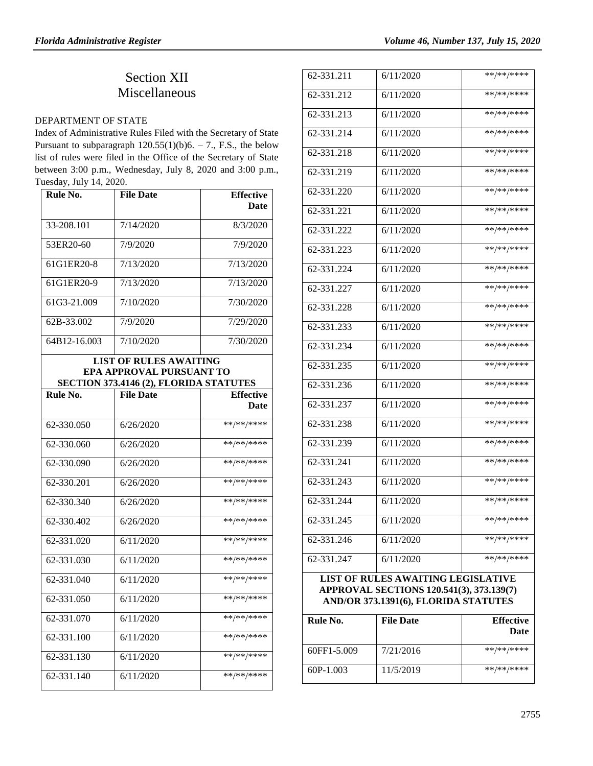# Section XII Miscellaneous

#### [DEPARTMENT OF STATE](https://www.flrules.org/gateway/department.asp?id=1)

Index of Administrative Rules Filed with the Secretary of State Pursuant to subparagraph  $120.55(1)(b)6. - 7.$ , F.S., the below list of rules were filed in the Office of the Secretary of State between 3:00 p.m., Wednesday, July 8, 2020 and 3:00 p.m., Tuesday, July 14, 2020.

| Rule No.                | <b>File Date</b>                                                   | <b>Effective</b> |
|-------------------------|--------------------------------------------------------------------|------------------|
|                         |                                                                    | <b>Date</b>      |
| 33-208.101              | 7/14/2020                                                          | 8/3/2020         |
| 53ER20-60               | 7/9/2020                                                           | 7/9/2020         |
| 61G1ER20-8              | 7/13/2020                                                          | 7/13/2020        |
| 61G1ER20-9              | 7/13/2020                                                          | 7/13/2020        |
| 61G3-21.009             | 7/10/2020                                                          | 7/30/2020        |
| 62B-33.002              | 7/9/2020                                                           | 7/29/2020        |
| 64B12-16.003            | 7/10/2020                                                          | 7/30/2020        |
|                         | <b>LIST OF RULES AWAITING</b>                                      |                  |
|                         | EPA APPROVAL PURSUANT TO<br>SECTION 373.4146 (2), FLORIDA STATUTES |                  |
| Rule No.                | <b>File Date</b>                                                   | <b>Effective</b> |
|                         |                                                                    | Date             |
| 62-330.050              | 6/26/2020                                                          | **/**/****       |
| 62-330.060              | 6/26/2020                                                          | **/**/****       |
| 62-330.090              | 6/26/2020                                                          | **/**/****       |
| $62 - 330.201$          | 6/26/2020                                                          | **/**/****       |
| 62-330.340              | 6/26/2020                                                          | **/**/****       |
| 62-330.402              | 6/26/2020                                                          | **/**/****       |
| 62-331.020              | 6/11/2020                                                          | **/**/****       |
| 62-331.030              | 6/11/2020                                                          | **/**/****       |
| $\overline{62-331.040}$ | 6/11/2020                                                          | **/**/****       |
| 62-331.050              | 6/11/2020                                                          | **/**/****       |
| 62-331.070              | 6/11/2020                                                          | **/**/****       |
| 62-331.100              | 6/11/2020                                                          | **/**/****       |
| 62-331.130              | 6/11/2020                                                          | **/**/****       |
| 62-331.140              | 6/11/2020                                                          | **/**/****       |

| 62-331.211                                                                                                                    | 6/11/2020 | **/**/****   |
|-------------------------------------------------------------------------------------------------------------------------------|-----------|--------------|
| 62-331.212                                                                                                                    | 6/11/2020 | **/**/****   |
| $62 - 331.213$                                                                                                                | 6/11/2020 | **/**/****   |
| 62-331.214                                                                                                                    | 6/11/2020 | **/**/****   |
| 62-331.218                                                                                                                    | 6/11/2020 | **/**/****   |
| 62-331.219                                                                                                                    | 6/11/2020 | **/**/****   |
| 62-331.220                                                                                                                    | 6/11/2020 | **/**/****   |
| 62-331.221                                                                                                                    | 6/11/2020 | **/**/****   |
| 62-331.222                                                                                                                    | 6/11/2020 | **/**/****   |
| 62-331.223                                                                                                                    | 6/11/2020 | **/**/****   |
| $62 - 331.224$                                                                                                                | 6/11/2020 | **/**/****   |
| 62-331.227                                                                                                                    | 6/11/2020 | **/**/****   |
| 62-331.228                                                                                                                    | 6/11/2020 | **/**/****   |
| 62-331.233                                                                                                                    | 6/11/2020 | **/**/****   |
| 62-331.234                                                                                                                    | 6/11/2020 | **/**/****   |
| 62-331.235                                                                                                                    | 6/11/2020 | **/**/****   |
| 62-331.236                                                                                                                    | 6/11/2020 | **/**/****   |
| 62-331.237                                                                                                                    | 6/11/2020 | **/**/****   |
| 62-331.238                                                                                                                    | 6/11/2020 | **/**/****   |
| 62-331.239                                                                                                                    | 6/11/2020 | **/**/****   |
| 62-331.241                                                                                                                    | 6/11/2020 | **/**/****   |
| 62-331.243                                                                                                                    | 6/11/2020 | $**/**/****$ |
| 62-331.244                                                                                                                    | 6/11/2020 | **/**/****   |
| 62-331.245                                                                                                                    | 6/11/2020 | **/**/****   |
| 62-331.246                                                                                                                    | 6/11/2020 | **/**/****   |
| 62-331.247                                                                                                                    | 6/11/2020 | **/**/****   |
| <b>LIST OF RULES AWAITING LEGISLATIVE</b><br>APPROVAL SECTIONS 120.541(3), 373.139(7)<br>AND/OR 373.1391(6), FLORIDA STATUTES |           |              |

| Rule No.    | <b>File Date</b> | <b>Effective</b><br>Date |
|-------------|------------------|--------------------------|
| 60FF1-5.009 | 7/21/2016        | **/**/****               |
| $60P-1.003$ | 11/5/2019        | **/**/****               |